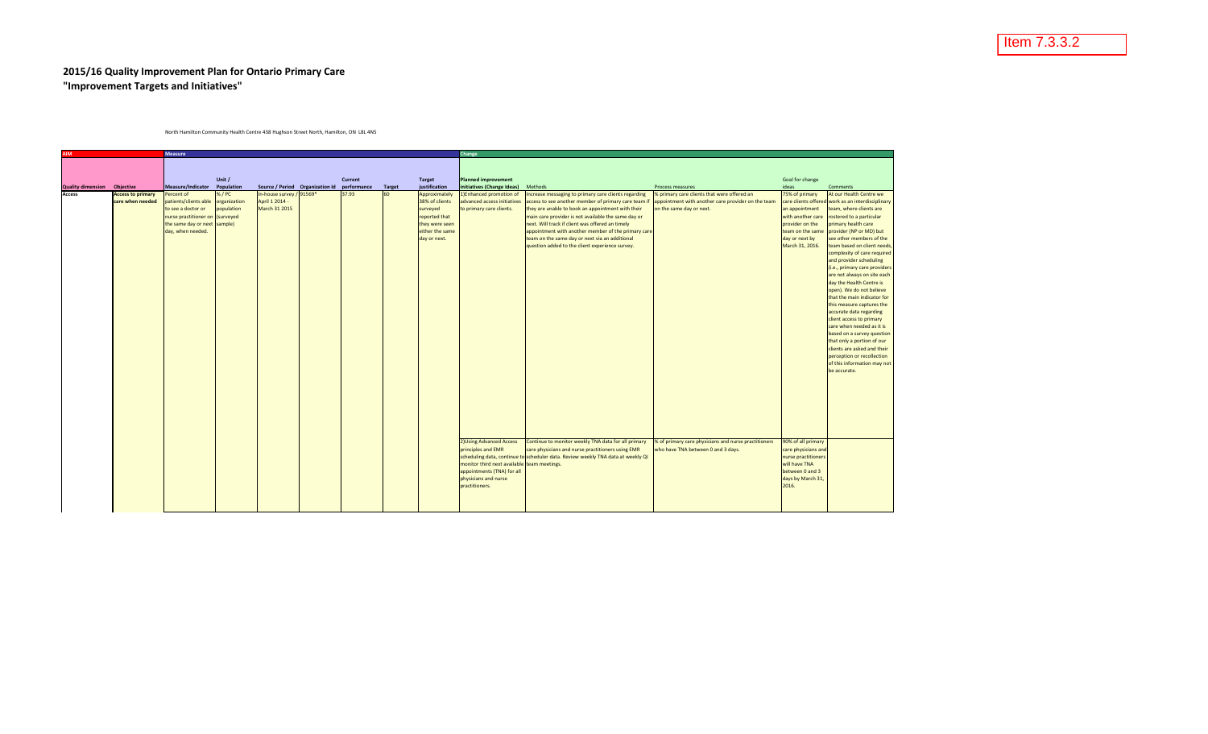## **2015/16 Quality Improvement Plan for Ontario Primary Care "Improvement Targets and Initiatives"**

North Hamilton Community Health Centre 438 Hughson Street North, Hamilton, ON L8L 4N5

| <b>Measure</b><br><b>AIM</b> |                          |                                                                 |            |                                             |  | Change  |               |                                 |                                             |                                                                                                         |                                                      |                                      |                                                           |
|------------------------------|--------------------------|-----------------------------------------------------------------|------------|---------------------------------------------|--|---------|---------------|---------------------------------|---------------------------------------------|---------------------------------------------------------------------------------------------------------|------------------------------------------------------|--------------------------------------|-----------------------------------------------------------|
|                              |                          |                                                                 |            |                                             |  |         |               |                                 |                                             |                                                                                                         |                                                      |                                      |                                                           |
|                              |                          |                                                                 |            |                                             |  |         |               |                                 |                                             |                                                                                                         |                                                      |                                      |                                                           |
|                              |                          |                                                                 | Unit /     |                                             |  | Current |               | <b>Target</b>                   | <b>Planned improvement</b>                  |                                                                                                         |                                                      | Goal for change                      |                                                           |
| <b>Quality dimension</b>     | Objective                | Measure/Indicator Population                                    |            | Source / Period Organization Id performance |  |         | <b>Target</b> | justification                   | initiatives (Change Ideas)                  | Methods                                                                                                 | Process measures                                     | ideas                                | Comments                                                  |
| Access                       | <b>Access to primary</b> | Percent of                                                      | %/PC       | In-house survey / 91569*                    |  | 37.93   | 60            | Approximately                   | 1) Enhanced promotion of                    | Increase messaging to primary care clients regarding                                                    | % primary care clients that were offered an          | 75% of primary                       | At our Health Centre we                                   |
|                              | care when needed         | patients/clients able organization                              |            | April 1 2014 -                              |  |         |               | 38% of clients                  | advanced access initiatives                 | access to see another member of primary care team if                                                    | appointment with another care provider on the team   |                                      | care clients offered work as an interdisciplinary         |
|                              |                          | to see a doctor or                                              | population | March 31 2015                               |  |         |               | surveyed                        | to primary care clients.                    | they are unable to book an appointment with their                                                       | on the same day or next.                             | an appointment                       | team, where clients are                                   |
|                              |                          | nurse practitioner on (surveyed<br>the same day or next sample) |            |                                             |  |         |               | reported that<br>they were seen |                                             | main care provider is not available the same day or<br>next. Will track if client was offered an timely |                                                      | with another care<br>provider on the | rostered to a particular                                  |
|                              |                          | day, when needed.                                               |            |                                             |  |         |               | either the same                 |                                             | appointment with another member of the primary care                                                     |                                                      | team on the same                     | primary health care<br>provider (NP or MD) but            |
|                              |                          |                                                                 |            |                                             |  |         |               | day or next.                    |                                             | team on the same day or next via an additional                                                          |                                                      | day or next by                       | see other members of the                                  |
|                              |                          |                                                                 |            |                                             |  |         |               |                                 |                                             | question added to the client experience survey.                                                         |                                                      | March 31, 2016.                      | team based on client needs                                |
|                              |                          |                                                                 |            |                                             |  |         |               |                                 |                                             |                                                                                                         |                                                      |                                      | complexity of care required                               |
|                              |                          |                                                                 |            |                                             |  |         |               |                                 |                                             |                                                                                                         |                                                      |                                      | and provider scheduling                                   |
|                              |                          |                                                                 |            |                                             |  |         |               |                                 |                                             |                                                                                                         |                                                      |                                      | (i.e., primary care providers                             |
|                              |                          |                                                                 |            |                                             |  |         |               |                                 |                                             |                                                                                                         |                                                      |                                      | are not always on site each                               |
|                              |                          |                                                                 |            |                                             |  |         |               |                                 |                                             |                                                                                                         |                                                      |                                      | day the Health Centre is<br>open). We do not believe      |
|                              |                          |                                                                 |            |                                             |  |         |               |                                 |                                             |                                                                                                         |                                                      |                                      | that the main indicator for                               |
|                              |                          |                                                                 |            |                                             |  |         |               |                                 |                                             |                                                                                                         |                                                      |                                      | this measure captures the                                 |
|                              |                          |                                                                 |            |                                             |  |         |               |                                 |                                             |                                                                                                         |                                                      |                                      | accurate data regarding                                   |
|                              |                          |                                                                 |            |                                             |  |         |               |                                 |                                             |                                                                                                         |                                                      |                                      | client access to primary                                  |
|                              |                          |                                                                 |            |                                             |  |         |               |                                 |                                             |                                                                                                         |                                                      |                                      | care when needed as it is                                 |
|                              |                          |                                                                 |            |                                             |  |         |               |                                 |                                             |                                                                                                         |                                                      |                                      | based on a survey question                                |
|                              |                          |                                                                 |            |                                             |  |         |               |                                 |                                             |                                                                                                         |                                                      |                                      | that only a portion of our                                |
|                              |                          |                                                                 |            |                                             |  |         |               |                                 |                                             |                                                                                                         |                                                      |                                      | clients are asked and their                               |
|                              |                          |                                                                 |            |                                             |  |         |               |                                 |                                             |                                                                                                         |                                                      |                                      | perception or recollection<br>of this information may not |
|                              |                          |                                                                 |            |                                             |  |         |               |                                 |                                             |                                                                                                         |                                                      |                                      | be accurate.                                              |
|                              |                          |                                                                 |            |                                             |  |         |               |                                 |                                             |                                                                                                         |                                                      |                                      |                                                           |
|                              |                          |                                                                 |            |                                             |  |         |               |                                 |                                             |                                                                                                         |                                                      |                                      |                                                           |
|                              |                          |                                                                 |            |                                             |  |         |               |                                 |                                             |                                                                                                         |                                                      |                                      |                                                           |
|                              |                          |                                                                 |            |                                             |  |         |               |                                 |                                             |                                                                                                         |                                                      |                                      |                                                           |
|                              |                          |                                                                 |            |                                             |  |         |               |                                 |                                             |                                                                                                         |                                                      |                                      |                                                           |
|                              |                          |                                                                 |            |                                             |  |         |               |                                 |                                             |                                                                                                         |                                                      |                                      |                                                           |
|                              |                          |                                                                 |            |                                             |  |         |               |                                 |                                             |                                                                                                         |                                                      |                                      |                                                           |
|                              |                          |                                                                 |            |                                             |  |         |               |                                 |                                             |                                                                                                         |                                                      |                                      |                                                           |
|                              |                          |                                                                 |            |                                             |  |         |               |                                 | 2) Using Advanced Access                    | Continue to monitor weekly TNA data for all primary                                                     | % of primary care physicians and nurse practitioners | 90% of all primary                   |                                                           |
|                              |                          |                                                                 |            |                                             |  |         |               |                                 | principles and EMR                          | care physicians and nurse practitioners using EMR                                                       | vho have TNA between 0 and 3 days.                   | care physicians and                  |                                                           |
|                              |                          |                                                                 |            |                                             |  |         |               |                                 |                                             | scheduling data, continue to scheduler data. Review weekly TNA data at weekly QI                        |                                                      | nurse practitioners                  |                                                           |
|                              |                          |                                                                 |            |                                             |  |         |               |                                 | monitor third next available team meetings. |                                                                                                         |                                                      | will have TNA                        |                                                           |
|                              |                          |                                                                 |            |                                             |  |         |               |                                 | appointments (TNA) for all                  |                                                                                                         |                                                      | between 0 and 3                      |                                                           |
|                              |                          |                                                                 |            |                                             |  |         |               |                                 | physicians and nurse<br>practitioners.      |                                                                                                         |                                                      | days by March 31,<br>2016.           |                                                           |
|                              |                          |                                                                 |            |                                             |  |         |               |                                 |                                             |                                                                                                         |                                                      |                                      |                                                           |
|                              |                          |                                                                 |            |                                             |  |         |               |                                 |                                             |                                                                                                         |                                                      |                                      |                                                           |
|                              |                          |                                                                 |            |                                             |  |         |               |                                 |                                             |                                                                                                         |                                                      |                                      |                                                           |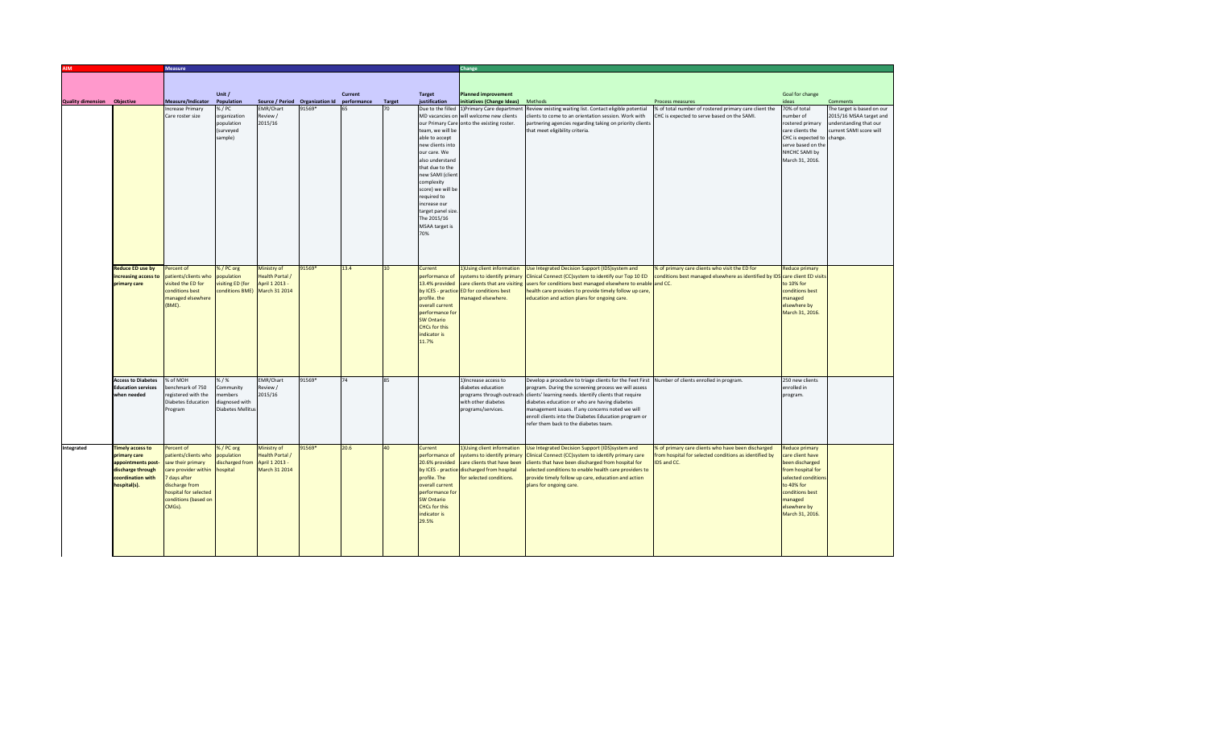|                                    |                                        | <b>Measure</b>                                   |                          |                        |                                             |         |                 |                                       | Change                                                                  |                                                                                                                                   |                                                                              |                                          |                            |  |
|------------------------------------|----------------------------------------|--------------------------------------------------|--------------------------|------------------------|---------------------------------------------|---------|-----------------|---------------------------------------|-------------------------------------------------------------------------|-----------------------------------------------------------------------------------------------------------------------------------|------------------------------------------------------------------------------|------------------------------------------|----------------------------|--|
|                                    |                                        |                                                  |                          |                        |                                             |         |                 |                                       |                                                                         |                                                                                                                                   |                                                                              |                                          |                            |  |
|                                    |                                        |                                                  |                          |                        |                                             |         |                 |                                       |                                                                         |                                                                                                                                   |                                                                              |                                          |                            |  |
| <b>Quality dimension Objective</b> |                                        | Measure/Indicator                                | Unit /<br>Population     |                        | Source / Period Organization Id performance | Current | <b>Target</b>   | <b>Target</b><br><b>iustification</b> | <b>Planned improvement</b><br>nitiatives (Change Ideas)                 | Methods                                                                                                                           | <b>Process measures</b>                                                      | Goal for change<br>ideas                 | Comments                   |  |
|                                    |                                        | Increase Primary                                 | % / PC                   | <b>EMR/Chart</b>       | 91569*                                      |         | 70              | Due to the filled                     | )Primary Care departmer                                                 | Review existing waiting list. Contact eligible potential                                                                          | % of total number of rostered primary care client the                        | 70% of total                             | The target is based on our |  |
|                                    |                                        | Care roster size                                 | organization             | Review /               |                                             |         |                 |                                       | MD vacancies on will welcome new clients                                | clients to come to an orientation session. Work with                                                                              | CHC is expected to serve based on the SAMI.                                  | number of                                | 2015/16 MSAA target and    |  |
|                                    |                                        |                                                  | population               | 2015/16                |                                             |         |                 |                                       | our Primary Care onto the existing roster.                              | partnering agencies regarding taking on priority client                                                                           |                                                                              | rostered primary                         | understanding that our     |  |
|                                    |                                        |                                                  | (surveyed                |                        |                                             |         |                 | team, we will be                      |                                                                         | that meet eligibility criteria.                                                                                                   |                                                                              | care clients the                         | current SAMI score will    |  |
|                                    |                                        |                                                  | sample)                  |                        |                                             |         |                 | able to accept                        |                                                                         |                                                                                                                                   |                                                                              | CHC is expected to change.               |                            |  |
|                                    |                                        |                                                  |                          |                        |                                             |         |                 | new clients into<br>our care. We      |                                                                         |                                                                                                                                   |                                                                              | serve based on the<br>NHCHC SAMI by      |                            |  |
|                                    |                                        |                                                  |                          |                        |                                             |         |                 | also understand                       |                                                                         |                                                                                                                                   |                                                                              | March 31, 2016.                          |                            |  |
|                                    |                                        |                                                  |                          |                        |                                             |         |                 | that due to the                       |                                                                         |                                                                                                                                   |                                                                              |                                          |                            |  |
|                                    |                                        |                                                  |                          |                        |                                             |         |                 | new SAMI (clien                       |                                                                         |                                                                                                                                   |                                                                              |                                          |                            |  |
|                                    |                                        |                                                  |                          |                        |                                             |         |                 | complexity                            |                                                                         |                                                                                                                                   |                                                                              |                                          |                            |  |
|                                    |                                        |                                                  |                          |                        |                                             |         |                 | score) we will be<br>required to      |                                                                         |                                                                                                                                   |                                                                              |                                          |                            |  |
|                                    |                                        |                                                  |                          |                        |                                             |         |                 | increase our                          |                                                                         |                                                                                                                                   |                                                                              |                                          |                            |  |
|                                    |                                        |                                                  |                          |                        |                                             |         |                 | target panel size                     |                                                                         |                                                                                                                                   |                                                                              |                                          |                            |  |
|                                    |                                        |                                                  |                          |                        |                                             |         |                 | The 2015/16                           |                                                                         |                                                                                                                                   |                                                                              |                                          |                            |  |
|                                    |                                        |                                                  |                          |                        |                                             |         |                 | <b>MSAA</b> target is                 |                                                                         |                                                                                                                                   |                                                                              |                                          |                            |  |
|                                    |                                        |                                                  |                          |                        |                                             |         |                 | 70%                                   |                                                                         |                                                                                                                                   |                                                                              |                                          |                            |  |
|                                    |                                        |                                                  |                          |                        |                                             |         |                 |                                       |                                                                         |                                                                                                                                   |                                                                              |                                          |                            |  |
|                                    |                                        |                                                  |                          |                        |                                             |         |                 |                                       |                                                                         |                                                                                                                                   |                                                                              |                                          |                            |  |
|                                    | <b>Reduce ED use by</b>                | Percent of                                       | % / PC org               | Ministry of            | 91569*                                      | 13.4    | 10 <sup>1</sup> | Current                               | 1) Using client information                                             | Use Integrated Decision Support (IDS)system and                                                                                   | % of primary care clients who visit the ED for                               | <b>Reduce primary</b>                    |                            |  |
|                                    | increasing access to                   | patients/clients who                             | population               | Health Portal /        |                                             |         |                 | performance of                        | ystems to identify primary                                              | Clinical Connect (CC)system to identify our Top 10 ED                                                                             | conditions best managed elsewhere as identified by IDS care client ED visits |                                          |                            |  |
|                                    | primary care                           | visited the ED for                               | visiting ED (for         | April 1 2013 -         |                                             |         |                 | 13.4% provided                        | care clients that are visiting                                          | users for conditions best managed elsewhere to enable and CC.                                                                     |                                                                              | to 10% for                               |                            |  |
|                                    |                                        | conditions best                                  | conditions BME)          | March 31 2014          |                                             |         |                 |                                       | by ICES - practice ED for conditions best                               | health care providers to provide timely follow up care,                                                                           |                                                                              | conditions best                          |                            |  |
|                                    |                                        | managed elsewhere                                |                          |                        |                                             |         |                 | profile. the                          | nanaged elsewhere.                                                      | education and action plans for ongoing care.                                                                                      |                                                                              | managed                                  |                            |  |
|                                    |                                        | BME).                                            |                          |                        |                                             |         |                 | overall current<br>performance fo     |                                                                         |                                                                                                                                   |                                                                              | elsewhere by<br>March 31, 2016.          |                            |  |
|                                    |                                        |                                                  |                          |                        |                                             |         |                 | <b>SW Ontario</b>                     |                                                                         |                                                                                                                                   |                                                                              |                                          |                            |  |
|                                    |                                        |                                                  |                          |                        |                                             |         |                 | <b>CHCs for this</b>                  |                                                                         |                                                                                                                                   |                                                                              |                                          |                            |  |
|                                    |                                        |                                                  |                          |                        |                                             |         |                 | indicator is                          |                                                                         |                                                                                                                                   |                                                                              |                                          |                            |  |
|                                    |                                        |                                                  |                          |                        |                                             |         |                 | 11.7%                                 |                                                                         |                                                                                                                                   |                                                                              |                                          |                            |  |
|                                    |                                        |                                                  |                          |                        |                                             |         |                 |                                       |                                                                         |                                                                                                                                   |                                                                              |                                          |                            |  |
|                                    |                                        |                                                  |                          |                        |                                             |         |                 |                                       |                                                                         |                                                                                                                                   |                                                                              |                                          |                            |  |
|                                    | <b>Access to Diabetes</b>              | % of MOH                                         | %/%                      | <b>EMR/Chart</b>       | 91569*                                      | 74      | 85              |                                       | 1) Increase access to                                                   | Develop a procedure to triage clients for the Feet First                                                                          | Number of clients enrolled in program.                                       | 250 new clients                          |                            |  |
|                                    | <b>Education services</b>              | benchmark of 750                                 | ommunity                 | Review /               |                                             |         |                 |                                       | diabetes education                                                      | program. During the screening process we will assess                                                                              |                                                                              | enrolled in                              |                            |  |
|                                    | when needed                            | registered with the<br><b>Diabetes Education</b> | embers<br>diagnosed with | 2015/16                |                                             |         |                 |                                       | with other diabetes                                                     | programs through outreach clients' learning needs. Identify clients that require<br>diabetes education or who are having diabetes |                                                                              | program.                                 |                            |  |
|                                    |                                        | Program                                          | <b>Diabetes Mellitu</b>  |                        |                                             |         |                 |                                       | programs/services.                                                      | management issues. If any concerns noted we will                                                                                  |                                                                              |                                          |                            |  |
|                                    |                                        |                                                  |                          |                        |                                             |         |                 |                                       |                                                                         | enroll clients into the Diabetes Education program or                                                                             |                                                                              |                                          |                            |  |
|                                    |                                        |                                                  |                          |                        |                                             |         |                 |                                       |                                                                         | refer them back to the diabetes team.                                                                                             |                                                                              |                                          |                            |  |
|                                    |                                        |                                                  |                          |                        |                                             |         |                 |                                       |                                                                         |                                                                                                                                   |                                                                              |                                          |                            |  |
| Integrated                         | <b>Timely access to</b>                | Percent of                                       | %/PC org                 | Ministry of            | 91569*                                      | 20.6    | 40 <sup>1</sup> | Current                               | 1) Using client information                                             | Use Integrated Decision Support (IDS)system and                                                                                   | % of primary care clients who have been discharged                           | <b>Reduce primary</b>                    |                            |  |
|                                    | primary care                           | patients/clients who                             | population               | <b>Health Portal /</b> |                                             |         |                 | performance of                        | systems to identify primary                                             | Clinical Connect (CC) system to identify primary care                                                                             | from hospital for selected conditions as identified by                       | care client have                         |                            |  |
|                                    | appointments post-                     | saw their primary                                | discharged from          | April 1 2013 -         |                                             |         |                 | 20.6% provided                        | are clients that have been                                              | clients that have been discharged from hospital for                                                                               | IDS and CC.                                                                  | been discharged                          |                            |  |
|                                    | discharge through<br>coordination with | care provider within<br>7 days after             | hospital                 | March 31 2014          |                                             |         |                 | profile. The                          | by ICES - practice discharged from hospital<br>for selected conditions. | selected conditions to enable health care providers to<br>provide timely follow up care, education and action                     |                                                                              | from hospital for<br>selected conditions |                            |  |
|                                    | hospital(s).                           | discharge from                                   |                          |                        |                                             |         |                 | overall current                       |                                                                         | plans for ongoing care.                                                                                                           |                                                                              | to 40% for                               |                            |  |
|                                    |                                        | hospital for selected                            |                          |                        |                                             |         |                 | performance fo                        |                                                                         |                                                                                                                                   |                                                                              | conditions best                          |                            |  |
|                                    |                                        | conditions (based on                             |                          |                        |                                             |         |                 | <b>SW Ontario</b>                     |                                                                         |                                                                                                                                   |                                                                              | managed                                  |                            |  |
|                                    |                                        | CMGs).                                           |                          |                        |                                             |         |                 | <b>CHCs for this</b>                  |                                                                         |                                                                                                                                   |                                                                              | elsewhere by                             |                            |  |
|                                    |                                        |                                                  |                          |                        |                                             |         |                 | indicator is<br>29.5%                 |                                                                         |                                                                                                                                   |                                                                              | March 31, 2016.                          |                            |  |
|                                    |                                        |                                                  |                          |                        |                                             |         |                 |                                       |                                                                         |                                                                                                                                   |                                                                              |                                          |                            |  |
|                                    |                                        |                                                  |                          |                        |                                             |         |                 |                                       |                                                                         |                                                                                                                                   |                                                                              |                                          |                            |  |
|                                    |                                        |                                                  |                          |                        |                                             |         |                 |                                       |                                                                         |                                                                                                                                   |                                                                              |                                          |                            |  |
|                                    |                                        |                                                  |                          |                        |                                             |         |                 |                                       |                                                                         |                                                                                                                                   |                                                                              |                                          |                            |  |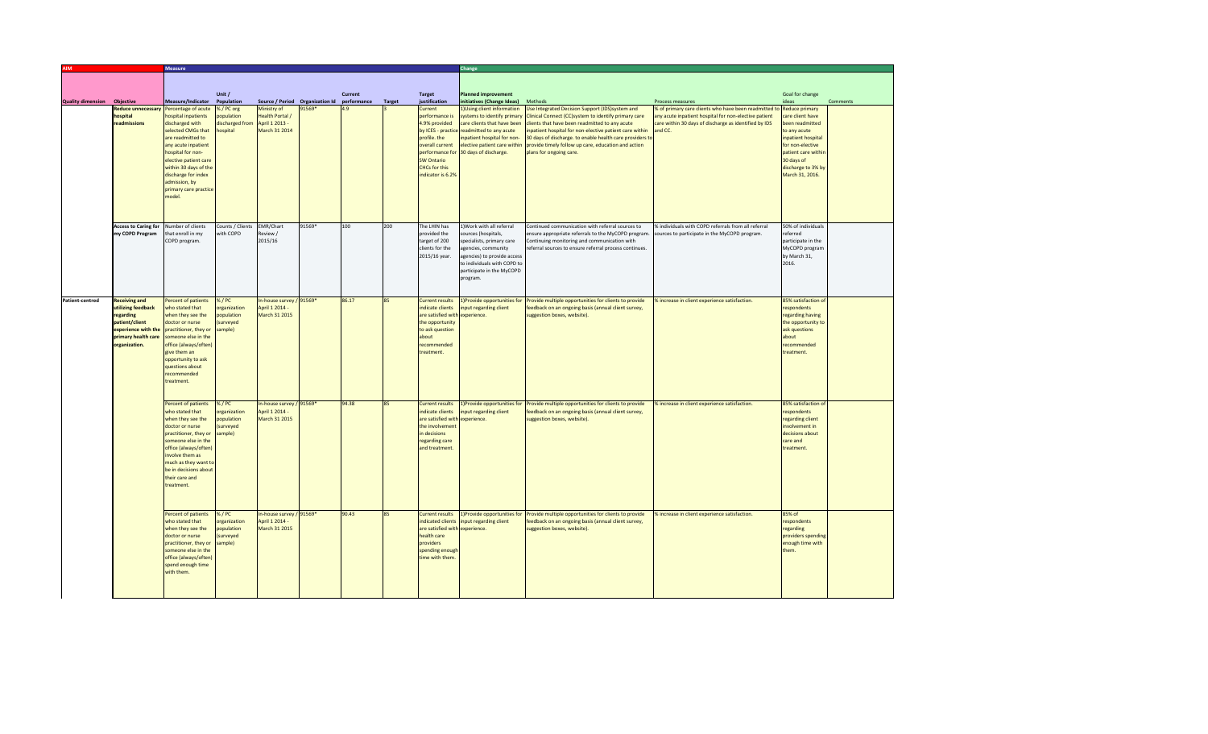| <b>Measure</b>           |                                                                                                                                                                                    |                                                                                                                                                                                                                                                                                   |                                                               |                                                                   |                                             |         |               | Change                                                                                                                                          |                                                                                                                                                                                                                                               |                                                                                                                                                                                                                                                                                                                                                                     |                                                                                                                                                                                    |                                                                                                                                                                                                      |          |  |
|--------------------------|------------------------------------------------------------------------------------------------------------------------------------------------------------------------------------|-----------------------------------------------------------------------------------------------------------------------------------------------------------------------------------------------------------------------------------------------------------------------------------|---------------------------------------------------------------|-------------------------------------------------------------------|---------------------------------------------|---------|---------------|-------------------------------------------------------------------------------------------------------------------------------------------------|-----------------------------------------------------------------------------------------------------------------------------------------------------------------------------------------------------------------------------------------------|---------------------------------------------------------------------------------------------------------------------------------------------------------------------------------------------------------------------------------------------------------------------------------------------------------------------------------------------------------------------|------------------------------------------------------------------------------------------------------------------------------------------------------------------------------------|------------------------------------------------------------------------------------------------------------------------------------------------------------------------------------------------------|----------|--|
|                          |                                                                                                                                                                                    |                                                                                                                                                                                                                                                                                   |                                                               |                                                                   |                                             |         |               |                                                                                                                                                 |                                                                                                                                                                                                                                               |                                                                                                                                                                                                                                                                                                                                                                     |                                                                                                                                                                                    |                                                                                                                                                                                                      |          |  |
|                          |                                                                                                                                                                                    |                                                                                                                                                                                                                                                                                   | Unit /                                                        |                                                                   |                                             | Current |               | <b>Target</b>                                                                                                                                   | <b>Planned improvement</b>                                                                                                                                                                                                                    |                                                                                                                                                                                                                                                                                                                                                                     |                                                                                                                                                                                    | Goal for change                                                                                                                                                                                      |          |  |
| <b>Quality dimension</b> | Objective                                                                                                                                                                          | Measure/Indicator                                                                                                                                                                                                                                                                 | Population                                                    |                                                                   | Source / Period Organization Id performance |         | <b>Target</b> | justification                                                                                                                                   | initiatives (Change Ideas) Methods                                                                                                                                                                                                            |                                                                                                                                                                                                                                                                                                                                                                     | Process measures                                                                                                                                                                   | ideas                                                                                                                                                                                                | Comments |  |
|                          | <b>Reduce unnecessary</b><br>hospital<br>readmissions                                                                                                                              | Percentage of acute<br>hospital inpatients<br>discharged with<br>selected CMGs that<br>are readmitted to<br>any acute inpatient<br>hospital for non-<br>elective patient care<br>within 30 days of the<br>discharge for index<br>admission, by<br>primary care practice<br>model. | % / PC org<br>opulation<br>discharged from<br><b>nospital</b> | Ministry of<br>Health Portal /<br>April 1 2013 -<br>March 31 2014 | 91569*                                      |         |               | Current<br>performance is<br>4.9% provided<br>profile. the<br>overall current<br><b>SW Ontario</b><br><b>CHCs</b> for this<br>indicator is 6.2% | 1) Using client information<br>ystems to identify primary<br>care clients that have been<br>by ICES - practice readmitted to any acute<br>npatient hospital for non-<br>elective patient care within<br>performance for 30 days of discharge. | Use Integrated Decision Support (IDS) system and<br>Clinical Connect (CC)system to identify primary care<br>clients that have been readmitted to any acute<br>inpatient hospital for non-elective patient care within<br>30 days of discharge, to enable health care providers to<br>provide timely follow up care, education and action<br>plans for ongoing care. | % of primary care clients who have been readmitted to<br>any acute inpatient hospital for non-elective patient<br>care within 30 days of discharge as identified by IDS<br>and CC. | <b>Reduce primary</b><br>care client have<br>been readmitted<br>to any acute<br>inpatient hospital<br>for non-elective<br>patient care within<br>30 days of<br>discharge to 3% by<br>March 31, 2016. |          |  |
|                          | <b>Access to Caring for</b><br>my COPD Program                                                                                                                                     | Number of clients<br>that enroll in my<br>COPD program.                                                                                                                                                                                                                           | Counts / Clients<br>with COPD                                 | EMR/Chart<br>Review /<br>2015/16                                  | 91569*                                      | 100     | 200           | The LHIN has<br>provided the<br>target of 200<br>clients for the<br>2015/16 year.                                                               | 1) Work with all referral<br>ources (hospitals,<br>specialists, primary care<br>agencies, community<br>agencies) to provide access<br>to individuals with COPD to<br>participate in the MyCOPD<br>program.                                    | Continued communication with referral sources to<br>ensure appropriate referrals to the MyCOPD program.<br>Continuing monitoring and communication with<br>referral sources to ensure referral process continues.                                                                                                                                                   | % individuals with COPD referrals from all referral<br>sources to participate in the MyCOPD program.                                                                               | 50% of individuals<br>referred<br>participate in the<br>MyCOPD program<br>by March 31,<br>2016.                                                                                                      |          |  |
| <b>Patient-centred</b>   | <b>Receiving and</b><br>utilizing feedback<br>regarding<br>patient/client<br>experience with the practitioner, they or<br>primary health care someone else in the<br>organization. | Percent of patients<br>who stated that<br>when they see the<br>doctor or nurse<br>office (always/often)<br>give them an<br>opportunity to ask<br>questions about<br>recommended<br>treatment.                                                                                     | %/PC<br>organization<br>population<br>(surveyed<br>sample)    | In-house survey / 91569*<br>April 1 2014 -<br>March 31 2015       |                                             | 86.17   | 85            | <b>Current results</b><br>indicate clients<br>are satisfied with<br>the opportunity<br>to ask question<br>about<br>recommended<br>treatment.    | L)Provide opportunities for<br>nput regarding client<br>experience.                                                                                                                                                                           | Provide multiple opportunities for clients to provide<br>eedback on an ongoing basis (annual client survey,<br>uggestion boxes, website)                                                                                                                                                                                                                            | 6 increase in client experience satisfaction.                                                                                                                                      | 85% satisfaction of<br>espondents<br>regarding having<br>the opportunity to<br>ask questions<br>about<br>recommended<br>treatment.                                                                   |          |  |
|                          |                                                                                                                                                                                    | Percent of patients<br>who stated that<br>when they see the<br>doctor or nurse<br>practitioner, they or<br>someone else in the<br>office (always/often)<br>involve them as<br>much as they want to<br>be in decisions about<br>their care and<br>treatment.                       | %/PC<br>organization<br>population<br>surveyed<br>sample)     | In-house survey / 91569*<br>April 1 2014 -<br>March 31 2015       |                                             | 94.38   |               | <b>Current results</b><br>indicate clients<br>are satisfied with<br>the involvement<br>in decisions<br>regarding care<br>and treatment.         | put regarding client<br>experience.                                                                                                                                                                                                           | 1) Provide opportunities for Provide multiple opportunities for clients to provide<br>eedback on an ongoing basis (annual client survey,<br>uggestion boxes, website).                                                                                                                                                                                              | % increase in client experience satisfaction.                                                                                                                                      | 85% satisfaction of<br>espondents<br>egarding client<br>nvolvement in<br>decisions about<br>care and<br>treatment.                                                                                   |          |  |
|                          |                                                                                                                                                                                    | Percent of patients<br>who stated that<br>when they see the<br>doctor or nurse<br>practitioner, they or<br>someone else in the<br>office (always/often)<br>spend enough time<br>with them.                                                                                        | %/PC<br>organization<br>population<br>surveyed<br>sample)     | In-house survey / 91569*<br>April 1 2014 -<br>March 31 2015       |                                             | 90.43   | 85            | <b>Current results</b><br>indicated clients<br>are satisfied with experience.<br>health care<br>providers<br>spending enougl<br>time with them  | L)Provide opportunities for<br>nput regarding client                                                                                                                                                                                          | Provide multiple opportunities for clients to provide<br>eedback on an ongoing basis (annual client survey,<br>suggestion boxes, website)                                                                                                                                                                                                                           | increase in client experience satisfaction.                                                                                                                                        | 85% of<br>respondents<br>regarding<br>providers spending<br>enough time with<br>hem.                                                                                                                 |          |  |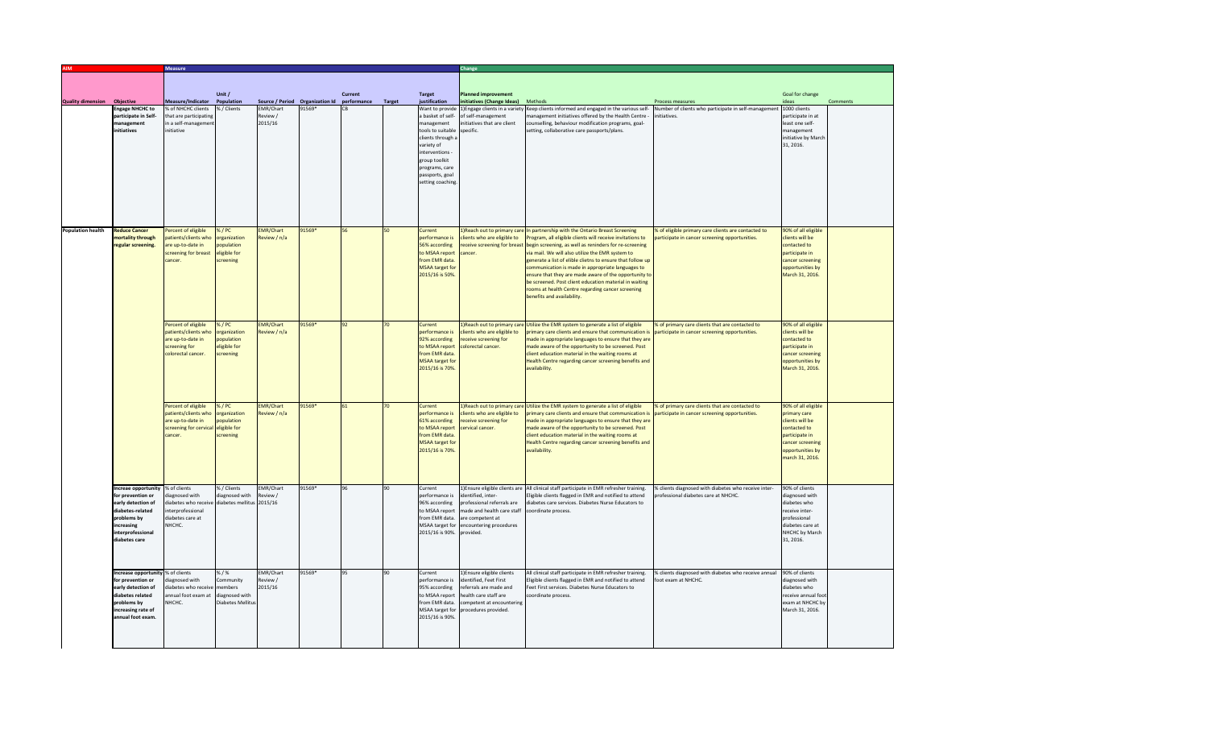|                          |                                                | <b>Measure</b>                                           |                          |                         |                                             |         |        |                                      |                                                      |                                                                                                                                               |                                                                                                  |                                        |          |  |
|--------------------------|------------------------------------------------|----------------------------------------------------------|--------------------------|-------------------------|---------------------------------------------|---------|--------|--------------------------------------|------------------------------------------------------|-----------------------------------------------------------------------------------------------------------------------------------------------|--------------------------------------------------------------------------------------------------|----------------------------------------|----------|--|
|                          |                                                |                                                          |                          |                         |                                             |         |        |                                      |                                                      |                                                                                                                                               |                                                                                                  |                                        |          |  |
|                          |                                                |                                                          |                          |                         |                                             |         |        |                                      |                                                      |                                                                                                                                               |                                                                                                  |                                        |          |  |
|                          |                                                |                                                          | Unit /                   |                         |                                             | Current |        | <b>Target</b>                        | <b>Planned improvement</b>                           |                                                                                                                                               |                                                                                                  | Goal for change                        |          |  |
| <b>Quality dimension</b> | Objective                                      | Measure/Indicator Population                             |                          |                         | Source / Period Organization Id performance |         | Target | justification                        | itiatives (Change Ideas) Methods                     |                                                                                                                                               | Process measures                                                                                 | ideas                                  | Comments |  |
|                          | <b>Engage NHCHC to</b><br>participate in Self- | % of NHCHC clients<br>that are participating             | % / Clients              | EMR/Chart<br>Review /   | 91569*                                      |         |        | Want to provide<br>a basket of self- | 1) Engage clients in a variety<br>of self-management | Keep clients informed and engaged in the various self-<br>anagement initiatives offered by the Health Centre                                  | Number of clients who participate in self-management<br>nitiatives.                              | 1000 clients<br>participate in at      |          |  |
|                          | management                                     | in a self-manageme                                       |                          | 2015/16                 |                                             |         |        | management                           | itiatives that are client                            | ounselling, behaviour modification programs, goal-                                                                                            |                                                                                                  | least one self-                        |          |  |
|                          | initiatives                                    | initiative                                               |                          |                         |                                             |         |        | tools to suitable                    | specific.                                            | etting, collaborative care passports/plans.                                                                                                   |                                                                                                  | management                             |          |  |
|                          |                                                |                                                          |                          |                         |                                             |         |        | clients through                      |                                                      |                                                                                                                                               |                                                                                                  | initiative by March                    |          |  |
|                          |                                                |                                                          |                          |                         |                                             |         |        | variety of                           |                                                      |                                                                                                                                               |                                                                                                  | 31, 2016.                              |          |  |
|                          |                                                |                                                          |                          |                         |                                             |         |        | interventions -                      |                                                      |                                                                                                                                               |                                                                                                  |                                        |          |  |
|                          |                                                |                                                          |                          |                         |                                             |         |        | group toolkit                        |                                                      |                                                                                                                                               |                                                                                                  |                                        |          |  |
|                          |                                                |                                                          |                          |                         |                                             |         |        | programs, care<br>passports, goal    |                                                      |                                                                                                                                               |                                                                                                  |                                        |          |  |
|                          |                                                |                                                          |                          |                         |                                             |         |        | setting coaching                     |                                                      |                                                                                                                                               |                                                                                                  |                                        |          |  |
|                          |                                                |                                                          |                          |                         |                                             |         |        |                                      |                                                      |                                                                                                                                               |                                                                                                  |                                        |          |  |
|                          |                                                |                                                          |                          |                         |                                             |         |        |                                      |                                                      |                                                                                                                                               |                                                                                                  |                                        |          |  |
|                          |                                                |                                                          |                          |                         |                                             |         |        |                                      |                                                      |                                                                                                                                               |                                                                                                  |                                        |          |  |
|                          |                                                |                                                          |                          |                         |                                             |         |        |                                      |                                                      |                                                                                                                                               |                                                                                                  |                                        |          |  |
|                          |                                                |                                                          |                          |                         |                                             |         |        |                                      |                                                      |                                                                                                                                               |                                                                                                  |                                        |          |  |
| <b>Population health</b> | <b>Reduce Cancer</b>                           | ercent of eligible                                       | $%$ /PC                  | <b>EMR/Chart</b>        | 91569*                                      | 56      | 50     | Current                              |                                                      | Reach out to primary care In partnership with the Ontario Breast Screening                                                                    | 6 of eligible primary care clients are contacted to                                              | 90% of all eligible                    |          |  |
|                          | mortality through<br>regular screening.        | atients/clients who<br>are up-to-date in                 | rganization<br>opulation | teview / n/a            |                                             |         |        | performance is<br>56% according      | ients who are eligible to                            | rogram, all eligible clients will receive invitations to<br>ceive screening for breast begin screening, as well as reninders for re-screening | articipate in cancer screening opportunities.                                                    | lients will be<br>contacted to         |          |  |
|                          |                                                | screening for breast                                     | eligible for             |                         |                                             |         |        | to MSAA report                       | ancer.                                               | via mail. We will also utilize the EMR system to                                                                                              |                                                                                                  | participate in                         |          |  |
|                          |                                                | rancer.                                                  | screening                |                         |                                             |         |        | from EMR data.                       |                                                      | generate a list of elible clietns to ensure that follow up                                                                                    |                                                                                                  | cancer screening                       |          |  |
|                          |                                                |                                                          |                          |                         |                                             |         |        | <b>MSAA target for</b>               |                                                      | communication is made in appropriate languages to                                                                                             |                                                                                                  | opportunities by                       |          |  |
|                          |                                                |                                                          |                          |                         |                                             |         |        | 2015/16 is 50%                       |                                                      | ensure that they are made aware of the opportunity to                                                                                         |                                                                                                  | March 31, 2016.                        |          |  |
|                          |                                                |                                                          |                          |                         |                                             |         |        |                                      |                                                      | be screened. Post client education material in waiting                                                                                        |                                                                                                  |                                        |          |  |
|                          |                                                |                                                          |                          |                         |                                             |         |        |                                      |                                                      | ooms at health Centre regarding cancer screening                                                                                              |                                                                                                  |                                        |          |  |
|                          |                                                |                                                          |                          |                         |                                             |         |        |                                      |                                                      | enefits and availability.                                                                                                                     |                                                                                                  |                                        |          |  |
|                          |                                                |                                                          |                          |                         |                                             |         |        |                                      |                                                      |                                                                                                                                               |                                                                                                  |                                        |          |  |
|                          |                                                |                                                          |                          |                         |                                             |         |        |                                      |                                                      |                                                                                                                                               |                                                                                                  |                                        |          |  |
|                          |                                                | Percent of eligible<br>atients/clients who               | % / PC<br>rganization    | MR/Chart<br>eview / n/a | 91569*                                      | 92      |        | Current<br>erformance is             | ients who are eligible to                            | Reach out to primary care Utilize the EMR system to generate a list of eligible<br>primary care clients and ensure that communication is      | % of primary care clients that are contacted to<br>articipate in cancer screening opportunities. | 90% of all eligible<br>lients will be  |          |  |
|                          |                                                | are up-to-date in                                        | opulation                |                         |                                             |         |        | 92% according                        | eceive screening for                                 | made in appropriate languages to ensure that they are                                                                                         |                                                                                                  | contacted to                           |          |  |
|                          |                                                | screening for                                            | eligible for             |                         |                                             |         |        | to MSAA report                       | plorectal cancer.                                    | made aware of the opportunity to be screened. Post                                                                                            |                                                                                                  | participate in                         |          |  |
|                          |                                                | colorectal cancer.                                       | screening                |                         |                                             |         |        | from EMR data.                       |                                                      | client education material in the waiting rooms at                                                                                             |                                                                                                  | cancer screening                       |          |  |
|                          |                                                |                                                          |                          |                         |                                             |         |        | <b>MSAA target for</b>               |                                                      | Health Centre regarding cancer screening benefits and                                                                                         |                                                                                                  | opportunities by                       |          |  |
|                          |                                                |                                                          |                          |                         |                                             |         |        | 2015/16 is 70%                       |                                                      | availability.                                                                                                                                 |                                                                                                  | March 31, 2016.                        |          |  |
|                          |                                                |                                                          |                          |                         |                                             |         |        |                                      |                                                      |                                                                                                                                               |                                                                                                  |                                        |          |  |
|                          |                                                |                                                          |                          |                         |                                             |         |        |                                      |                                                      |                                                                                                                                               |                                                                                                  |                                        |          |  |
|                          |                                                |                                                          |                          |                         |                                             |         |        |                                      |                                                      |                                                                                                                                               |                                                                                                  |                                        |          |  |
|                          |                                                | ercent of eligible                                       | %/PC                     | <b>EMR/Chart</b>        | 91569*                                      |         | m      | Current                              |                                                      | Reach out to primary care Utilize the EMR system to generate a list of eligible                                                               | % of primary care clients that are contacted to                                                  | 90% of all eligible                    |          |  |
|                          |                                                | atients/clients who                                      | organization             | teview / n/a            |                                             |         |        | performance is                       | lients who are eligible to                           | rimary care clients and ensure that communication is                                                                                          | articipate in cancer screening opportunities.                                                    | rimary care                            |          |  |
|                          |                                                | are up-to-date in<br>screening for cervical eligible for | population               |                         |                                             |         |        | 61% according<br>to MSAA report      | eceive screening for<br>cervical cancer.             | made in appropriate languages to ensure that they are<br>made aware of the opportunity to be screened. Post                                   |                                                                                                  | lients will be<br>contacted to         |          |  |
|                          |                                                | ancer.                                                   | screening                |                         |                                             |         |        | from EMR data.                       |                                                      | client education material in the waiting rooms at                                                                                             |                                                                                                  | participate in                         |          |  |
|                          |                                                |                                                          |                          |                         |                                             |         |        | <b>MSAA target for</b>               |                                                      | Health Centre regarding cancer screening benefits and                                                                                         |                                                                                                  | cancer screening                       |          |  |
|                          |                                                |                                                          |                          |                         |                                             |         |        | 2015/16 is 70%                       |                                                      | availability.                                                                                                                                 |                                                                                                  | opportunities by                       |          |  |
|                          |                                                |                                                          |                          |                         |                                             |         |        |                                      |                                                      |                                                                                                                                               |                                                                                                  | march 31, 2016.                        |          |  |
|                          |                                                |                                                          |                          |                         |                                             |         |        |                                      |                                                      |                                                                                                                                               |                                                                                                  |                                        |          |  |
|                          |                                                |                                                          |                          |                         |                                             |         |        |                                      |                                                      |                                                                                                                                               |                                                                                                  |                                        |          |  |
|                          | Increae opportunity                            | % of clients                                             | % / Clients              | <b>EMR/Chart</b>        | 91569*                                      |         | 90     | Current                              |                                                      | 1) Ensure eligible clients are All clinical staff participate in EMR refresher training.                                                      | 6 clients diagnosed with diabetes who receive inter-                                             | 90% of clients                         |          |  |
|                          | for prevention or                              | liagnosed with                                           | diagnosed with           | Review /                |                                             |         |        | erformance is                        | lentified, inter-                                    | ligible clients flagged in EMR and notified to attend                                                                                         | rofessional diabetes care at NHCHC                                                               | diagnosed with                         |          |  |
|                          | early detection of                             | diabetes who receive                                     | diabetes mellitus        | 2015/16                 |                                             |         |        | 96% according                        | professional referrals are                           | liabetes care services. Diabetes Nurse Educators to                                                                                           |                                                                                                  | diabetes who                           |          |  |
|                          | diabetes-related                               | internrofessional                                        |                          |                         |                                             |         |        | to MSAA report                       | made and health care staff                           | coordinate process.                                                                                                                           |                                                                                                  | receive inter-                         |          |  |
|                          | problems by                                    | diabetes care at                                         |                          |                         |                                             |         |        | from EMR data.                       | are competent at                                     |                                                                                                                                               |                                                                                                  | professional                           |          |  |
|                          | increasing                                     | NHCHC.                                                   |                          |                         |                                             |         |        | MSAA target for                      | ncountering procedures<br>provided.                  |                                                                                                                                               |                                                                                                  | diabetes care at                       |          |  |
|                          | interprofessional<br>diabetes care             |                                                          |                          |                         |                                             |         |        | 2015/16 is 90%.                      |                                                      |                                                                                                                                               |                                                                                                  | NHCHC by March<br>31.2016.             |          |  |
|                          |                                                |                                                          |                          |                         |                                             |         |        |                                      |                                                      |                                                                                                                                               |                                                                                                  |                                        |          |  |
|                          |                                                |                                                          |                          |                         |                                             |         |        |                                      |                                                      |                                                                                                                                               |                                                                                                  |                                        |          |  |
|                          |                                                |                                                          |                          |                         |                                             |         |        |                                      |                                                      |                                                                                                                                               |                                                                                                  |                                        |          |  |
|                          | Increase opportunity % of clients              |                                                          | %1%                      | EMR/Chart               | 91569*                                      |         | ۹Ń     | Current                              | 1) Ensure eligible clients                           | All clinical staff participate in EMR refresher training.                                                                                     | % clients diagnosed with diabetes who receive annual                                             | 90% of clients                         |          |  |
|                          | for prevention or                              | liagnosed with                                           | Community                | Review /                |                                             |         |        | performance is                       | entified, Feet First                                 | Eligible clients flagged in EMR and notified to attend                                                                                        | oot exam at NHCHC.                                                                               | diagnosed with                         |          |  |
|                          | early detection of                             | diabetes who receive                                     | members                  | 2015/16                 |                                             |         |        | 95% according                        | referrals are made and                               | Feet First services. Diabetes Nurse Educators to                                                                                              |                                                                                                  | diabetes who                           |          |  |
|                          | diabetes related<br>problems by                | annual foot exam at Idiagnosed with<br>NHCHC.            | <b>Diabetes Mellitu</b>  |                         |                                             |         |        | o MSAA report<br>rom EMR data.       | health care staff are                                | coordinate process.                                                                                                                           |                                                                                                  | receive annual foo<br>exam at NHCHC by |          |  |
|                          | increasing rate of                             |                                                          |                          |                         |                                             |         |        | MSAA target for                      | ompetent at encountering<br>rocedures provided.      |                                                                                                                                               |                                                                                                  | March 31, 2016.                        |          |  |
|                          | nnual foot exam.                               |                                                          |                          |                         |                                             |         |        | 2015/16 is 90%                       |                                                      |                                                                                                                                               |                                                                                                  |                                        |          |  |
|                          |                                                |                                                          |                          |                         |                                             |         |        |                                      |                                                      |                                                                                                                                               |                                                                                                  |                                        |          |  |
|                          |                                                |                                                          |                          |                         |                                             |         |        |                                      |                                                      |                                                                                                                                               |                                                                                                  |                                        |          |  |
|                          |                                                |                                                          |                          |                         |                                             |         |        |                                      |                                                      |                                                                                                                                               |                                                                                                  |                                        |          |  |